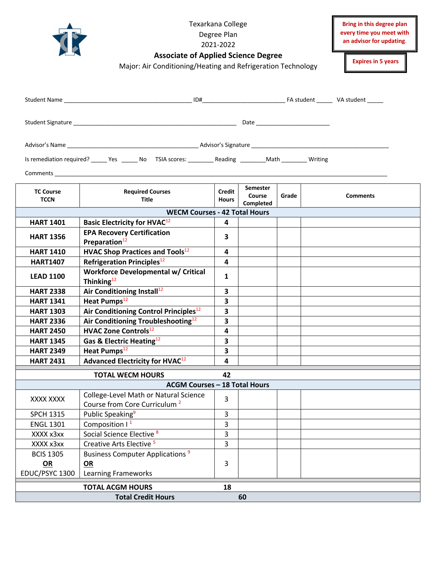|                                          | Bring in this degree plan<br>every time you meet with<br>an advisor for updating.<br><b>Expires in 5 years</b>   |                         |                                        |       |  |                 |  |  |  |
|------------------------------------------|------------------------------------------------------------------------------------------------------------------|-------------------------|----------------------------------------|-------|--|-----------------|--|--|--|
|                                          |                                                                                                                  |                         |                                        |       |  |                 |  |  |  |
|                                          |                                                                                                                  |                         |                                        |       |  |                 |  |  |  |
|                                          |                                                                                                                  |                         |                                        |       |  |                 |  |  |  |
|                                          | Is remediation required? _______ Yes _______ No TSIA scores: __________ Reading __________Math _________ Writing |                         |                                        |       |  |                 |  |  |  |
|                                          |                                                                                                                  |                         |                                        |       |  |                 |  |  |  |
| <b>TC Course</b><br><b>TCCN</b>          | <b>Required Courses</b><br>Title                                                                                 | Credit<br><b>Hours</b>  | <b>Semester</b><br>Course<br>Completed | Grade |  | <b>Comments</b> |  |  |  |
|                                          | <b>WECM Courses - 42 Total Hours</b>                                                                             |                         |                                        |       |  |                 |  |  |  |
| <b>HART 1401</b>                         | <b>Basic Electricity for HVAC</b> <sup>12</sup>                                                                  | 4                       |                                        |       |  |                 |  |  |  |
| <b>HART 1356</b>                         | <b>EPA Recovery Certification</b><br>Preparation <sup>12</sup>                                                   | 3                       |                                        |       |  |                 |  |  |  |
| <b>HART 1410</b>                         | <b>HVAC Shop Practices and Tools</b> <sup>12</sup>                                                               | 4                       |                                        |       |  |                 |  |  |  |
| <b>HART1407</b>                          | Refrigeration Principles <sup>12</sup>                                                                           | 4                       |                                        |       |  |                 |  |  |  |
| <b>LEAD 1100</b>                         | <b>Workforce Developmental w/ Critical</b><br>Thinking $^{12}$                                                   | 1                       |                                        |       |  |                 |  |  |  |
| <b>HART 2338</b>                         | Air Conditioning Install <sup>12</sup>                                                                           | 3                       |                                        |       |  |                 |  |  |  |
| <b>HART 1341</b>                         | Heat Pumps <sup>12</sup>                                                                                         | $\overline{\mathbf{3}}$ |                                        |       |  |                 |  |  |  |
| <b>HART 1303</b>                         | Air Conditioning Control Principles <sup>12</sup>                                                                | 3                       |                                        |       |  |                 |  |  |  |
| <b>HART 2336</b>                         | Air Conditioning Troubleshooting <sup>12</sup>                                                                   | $\mathbf{3}$            |                                        |       |  |                 |  |  |  |
| <b>HART 2450</b>                         | <b>HVAC Zone Controls</b> <sup>12</sup>                                                                          | $\overline{\mathbf{4}}$ |                                        |       |  |                 |  |  |  |
| <b>HART 1345</b>                         | Gas & Electric Heating <sup>12</sup>                                                                             | 3                       |                                        |       |  |                 |  |  |  |
| <b>HART 2349</b>                         | Heat Pumps <sup>12</sup>                                                                                         | 3                       |                                        |       |  |                 |  |  |  |
| <b>HART 2431</b>                         | <b>Advanced Electricity for HVAC12</b>                                                                           | 4                       |                                        |       |  |                 |  |  |  |
|                                          | <b>TOTAL WECM HOURS</b>                                                                                          | 42                      |                                        |       |  |                 |  |  |  |
|                                          | <b>ACGM Courses - 18 Total Hours</b>                                                                             |                         |                                        |       |  |                 |  |  |  |
| XXXX XXXX                                | College-Level Math or Natural Science<br>Course from Core Curriculum <sup>2</sup>                                | 3                       |                                        |       |  |                 |  |  |  |
| <b>SPCH 1315</b>                         | Public Speaking <sup>9</sup>                                                                                     | 3                       |                                        |       |  |                 |  |  |  |
| <b>ENGL 1301</b>                         | Composition $1^1$                                                                                                | $\mathsf{3}$            |                                        |       |  |                 |  |  |  |
| XXXX x3xx                                | Social Science Elective <sup>8</sup>                                                                             | $\overline{3}$          |                                        |       |  |                 |  |  |  |
| XXXX x3xx                                | Creative Arts Elective <sup>5</sup>                                                                              | 3                       |                                        |       |  |                 |  |  |  |
| <b>BCIS 1305</b><br>OR<br>EDUC/PSYC 1300 | Business Computer Applications <sup>9</sup><br>OR<br><b>Learning Frameworks</b>                                  | 3                       |                                        |       |  |                 |  |  |  |
| <b>TOTAL ACGM HOURS</b><br>18            |                                                                                                                  |                         |                                        |       |  |                 |  |  |  |
| <b>Total Credit Hours</b><br>60          |                                                                                                                  |                         |                                        |       |  |                 |  |  |  |